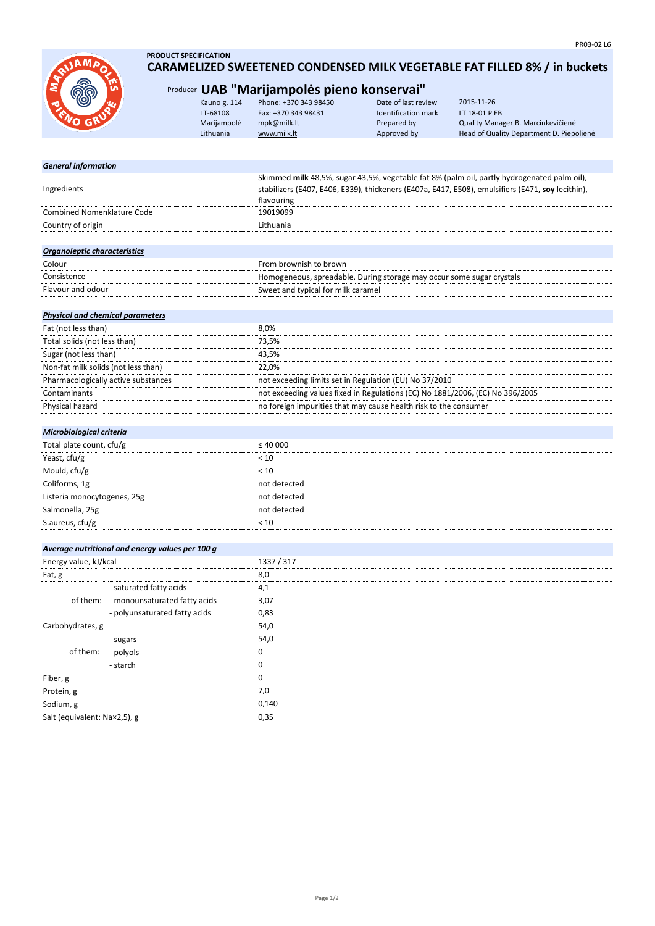

Salt (equivalent: Na×2,5), g 0,35

## **PRODUCT SPECIFICATION CARAMELIZED SWEETENED CONDENSED MILK VEGETABLE FAT FILLED 8% / in buckets**

# Producer **UAB "Marijampolės pieno konservai"**

|                            | Kauno g. 114<br>LT-68108<br>Marijampolė<br>Lithuania | Phone: +370 343 98450<br>Fax: +370 343 98431<br>mpk@milk.lt<br>www.milk.lt                  | Date of last review<br><b>Identification mark</b><br>Prepared by<br>Approved by | 2015-11-26<br>LT 18-01 P EB<br>Quality Manager B. Marcinkevičienė<br>Head of Quality Department D. Piepolienė |
|----------------------------|------------------------------------------------------|---------------------------------------------------------------------------------------------|---------------------------------------------------------------------------------|---------------------------------------------------------------------------------------------------------------|
| <b>General information</b> |                                                      |                                                                                             |                                                                                 |                                                                                                               |
|                            |                                                      | Skimmed milk 48,5%, sugar 43,5%, vegetable fat 8% (palm oil, partly hydrogenated palm oil), |                                                                                 |                                                                                                               |

| Ingredients                             |                                                 | stabilizers (E407, E406, E339), thickeners (E407a, E417, E508), emulsifiers (E471, soy lecithin),<br>flavouring |  |
|-----------------------------------------|-------------------------------------------------|-----------------------------------------------------------------------------------------------------------------|--|
| <b>Combined Nomenklature Code</b>       |                                                 | 19019099                                                                                                        |  |
| Country of origin                       |                                                 | Lithuania                                                                                                       |  |
|                                         |                                                 |                                                                                                                 |  |
| Organoleptic characteristics            |                                                 |                                                                                                                 |  |
| Colour                                  |                                                 | From brownish to brown                                                                                          |  |
| Consistence                             |                                                 | Homogeneous, spreadable. During storage may occur some sugar crystals                                           |  |
| Flavour and odour                       |                                                 | Sweet and typical for milk caramel                                                                              |  |
|                                         |                                                 |                                                                                                                 |  |
| <b>Physical and chemical parameters</b> |                                                 |                                                                                                                 |  |
| Fat (not less than)                     |                                                 | 8,0%                                                                                                            |  |
| Total solids (not less than)            |                                                 | 73,5%                                                                                                           |  |
| Sugar (not less than)                   |                                                 | 43,5%                                                                                                           |  |
| Non-fat milk solids (not less than)     |                                                 | 22,0%                                                                                                           |  |
|                                         | Pharmacologically active substances             | not exceeding limits set in Regulation (EU) No 37/2010                                                          |  |
| Contaminants                            |                                                 | not exceeding values fixed in Regulations (EC) No 1881/2006, (EC) No 396/2005                                   |  |
| Physical hazard                         |                                                 | no foreign impurities that may cause health risk to the consumer                                                |  |
|                                         |                                                 |                                                                                                                 |  |
| Microbiological criteria                |                                                 |                                                                                                                 |  |
| Total plate count, cfu/g                |                                                 | $\leq 40\ 000$                                                                                                  |  |
| Yeast, cfu/g                            |                                                 | < 10                                                                                                            |  |
| Mould, cfu/g                            |                                                 | < 10                                                                                                            |  |
| Coliforms, 1g                           |                                                 | not detected                                                                                                    |  |
| Listeria monocytogenes, 25g             |                                                 | not detected                                                                                                    |  |
| Salmonella, 25g                         |                                                 | not detected                                                                                                    |  |
| S.aureus, cfu/g                         |                                                 | < 10                                                                                                            |  |
|                                         |                                                 |                                                                                                                 |  |
|                                         | Average nutritional and energy values per 100 g |                                                                                                                 |  |
| Energy value, kJ/kcal                   |                                                 | 1337 / 317                                                                                                      |  |
| Fat, g                                  |                                                 | 8,0                                                                                                             |  |
|                                         | - saturated fatty acids                         | 4,1                                                                                                             |  |
|                                         | of them: - monounsaturated fatty acids          | 3,07                                                                                                            |  |
|                                         | - polyunsaturated fatty acids                   | 0,83                                                                                                            |  |
| Carbohydrates, g                        |                                                 | 54,0                                                                                                            |  |
|                                         | - sugars                                        | 54,0                                                                                                            |  |
| of them:                                | - polyols                                       | 0                                                                                                               |  |
|                                         | - starch                                        | 0                                                                                                               |  |
| Fiber, g                                |                                                 | 0                                                                                                               |  |
| Protein, g                              |                                                 | 7,0                                                                                                             |  |
| Sodium, g                               |                                                 | 0,140                                                                                                           |  |